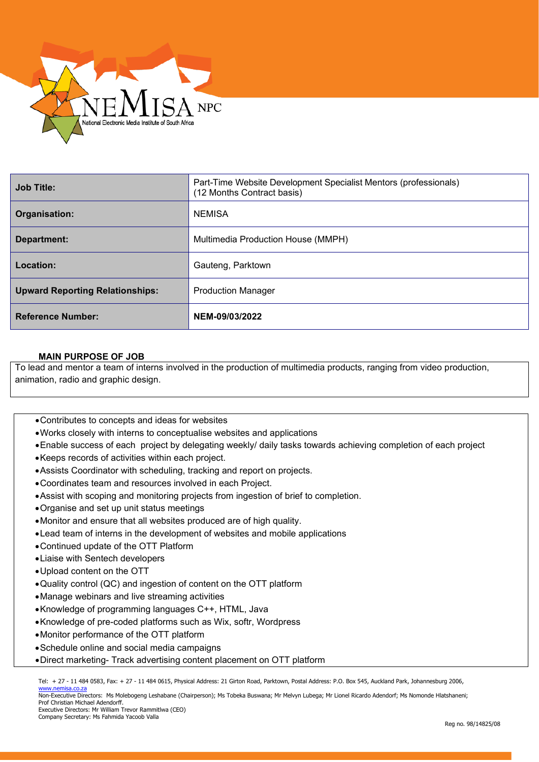

| <b>Job Title:</b>                      | Part-Time Website Development Specialist Mentors (professionals)<br>(12 Months Contract basis) |
|----------------------------------------|------------------------------------------------------------------------------------------------|
| Organisation:                          | <b>NEMISA</b>                                                                                  |
| Department:                            | Multimedia Production House (MMPH)                                                             |
| Location:                              | Gauteng, Parktown                                                                              |
| <b>Upward Reporting Relationships:</b> | <b>Production Manager</b>                                                                      |
| <b>Reference Number:</b>               | NEM-09/03/2022                                                                                 |

## **MAIN PURPOSE OF JOB**

To lead and mentor a team of interns involved in the production of multimedia products, ranging from video production, animation, radio and graphic design.

- •Contributes to concepts and ideas for websites
- •Works closely with interns to conceptualise websites and applications
- •Enable success of each project by delegating weekly/ daily tasks towards achieving completion of each project
- •Keeps records of activities within each project.
- •Assists Coordinator with scheduling, tracking and report on projects.
- •Coordinates team and resources involved in each Project.
- •Assist with scoping and monitoring projects from ingestion of brief to completion.
- •Organise and set up unit status meetings
- •Monitor and ensure that all websites produced are of high quality.
- •Lead team of interns in the development of websites and mobile applications
- •Continued update of the OTT Platform
- •Liaise with Sentech developers
- •Upload content on the OTT
- •Quality control (QC) and ingestion of content on the OTT platform
- •Manage webinars and live streaming activities
- •Knowledge of programming languages C++, HTML, Java
- •Knowledge of pre-coded platforms such as Wix, softr, Wordpress
- •Monitor performance of the OTT platform
- •Schedule online and social media campaigns
- •Direct marketing- Track advertising content placement on OTT platform

Tel: + 27 - 11 484 0583, Fax: + 27 - 11 484 0615, Physical Address: 21 Girton Road, Parktown, Postal Address: P.O. Box 545, Auckland Park, Johannesburg 2006, [www.nemisa.co.za](http://www.nemisa.co.za/)

Non-Executive Directors: Ms Molebogeng Leshabane (Chairperson); Ms Tobeka Buswana; Mr Melvyn Lubega; Mr Lionel Ricardo Adendorf; Ms Nomonde Hlatshaneni; Prof Christian Michael Adendorff. Executive Directors: Mr William Trevor Rammitlwa (CEO)

Company Secretary: Ms Fahmida Yacoob Valla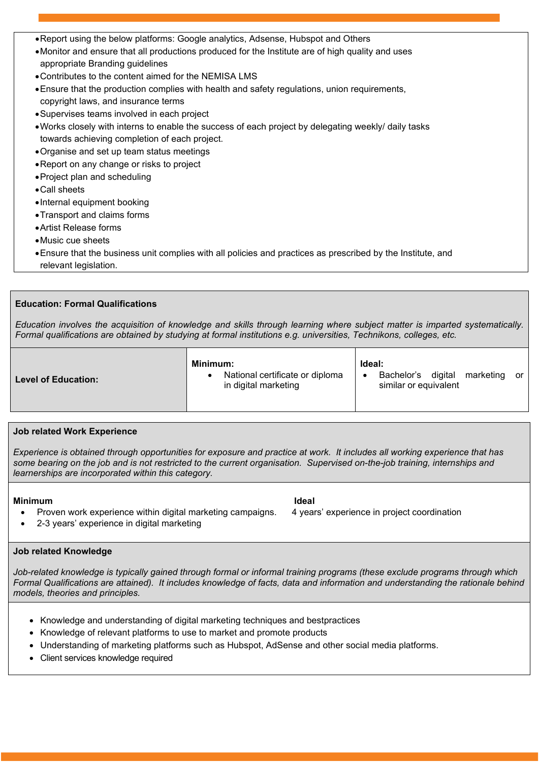- •Report using the below platforms: Google analytics, Adsense, Hubspot and Others
- •Monitor and ensure that all productions produced for the Institute are of high quality and uses appropriate Branding guidelines
- •Contributes to the content aimed for the NEMISA LMS
- •Ensure that the production complies with health and safety regulations, union requirements, copyright laws, and insurance terms
- •Supervises teams involved in each project
- •Works closely with interns to enable the success of each project by delegating weekly/ daily tasks towards achieving completion of each project.
- •Organise and set up team status meetings
- •Report on any change or risks to project
- •Project plan and scheduling
- •Call sheets
- •Internal equipment booking
- •Transport and claims forms
- •Artist Release forms
- •Music cue sheets
- •Ensure that the business unit complies with all policies and practices as prescribed by the Institute, and relevant legislation.

## **Education: Formal Qualifications**

*Education involves the acquisition of knowledge and skills through learning where subject matter is imparted systematically. Formal qualifications are obtained by studying at formal institutions e.g. universities, Technikons, colleges, etc.*

### **Job related Work Experience**

*Experience is obtained through opportunities for exposure and practice at work. It includes all working experience that has some bearing on the job and is not restricted to the current organisation. Supervised on-the-job training, internships and learnerships are incorporated within this category.*

# **Minimum Ideal**

- Proven work experience within digital marketing campaigns. 4 years' experience in project coordination
- 2-3 years' experience in digital marketing

## **Job related Knowledge**

*Job-related knowledge is typically gained through formal or informal training programs (these exclude programs through which Formal Qualifications are attained). It includes knowledge of facts, data and information and understanding the rationale behind models, theories and principles.*

- Knowledge and understanding of digital marketing techniques and bestpractices
- Knowledge of relevant platforms to use to market and promote products
- Understanding of marketing platforms such as Hubspot, AdSense and other social media platforms.
- Client services knowledge required